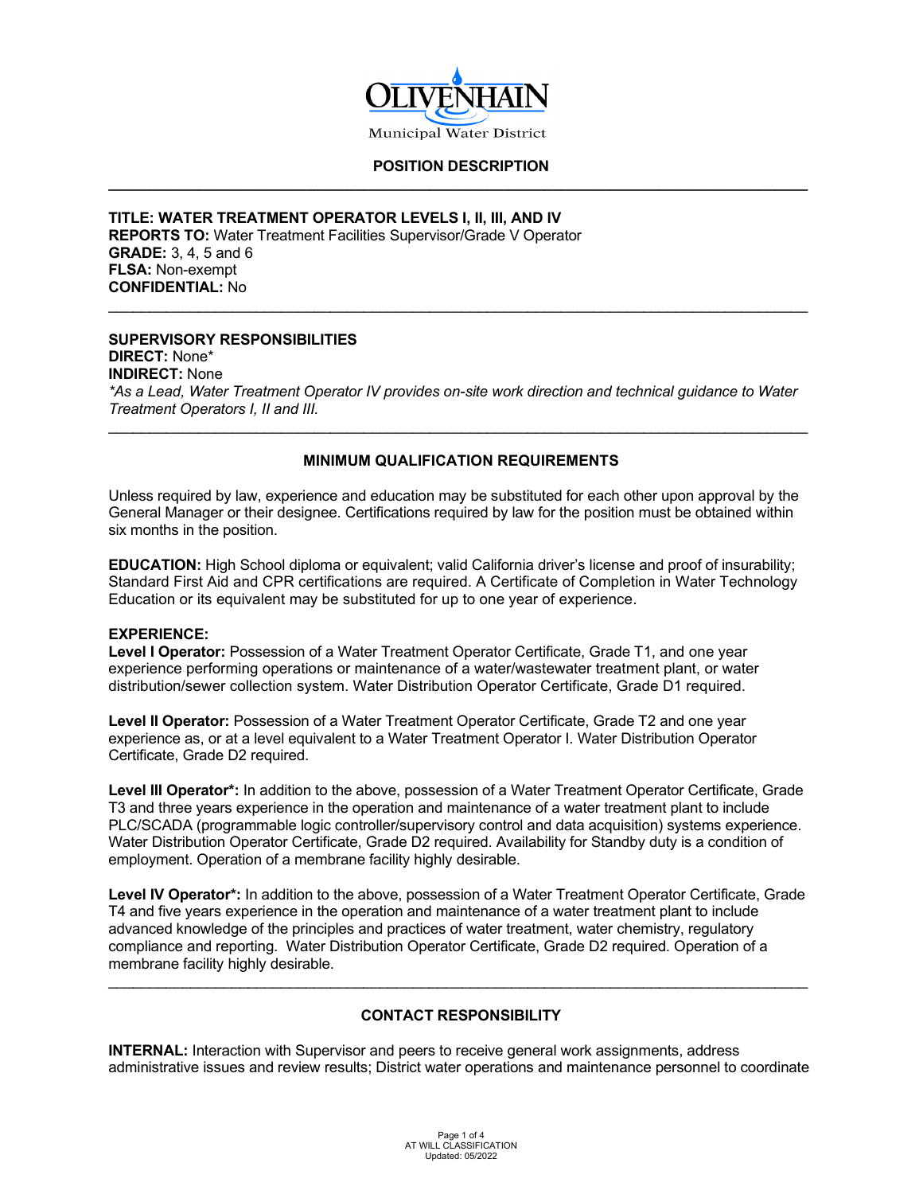

# **POSITION DESCRIPTION \_\_\_\_\_\_\_\_\_\_\_\_\_\_\_\_\_\_\_\_\_\_\_\_\_\_\_\_\_\_\_\_\_\_\_\_\_\_\_\_\_\_\_\_\_\_\_\_\_\_\_\_\_\_\_\_\_\_\_\_\_\_\_\_\_\_\_\_\_\_\_\_\_\_\_\_\_\_\_\_\_\_\_\_\_**

#### **TITLE: WATER TREATMENT OPERATOR LEVELS I, II, III, AND IV REPORTS TO:** Water Treatment Facilities Supervisor/Grade V Operator **GRADE:** 3, 4, 5 and 6 **FLSA:** Non-exempt **CONFIDENTIAL:** No

# **SUPERVISORY RESPONSIBILITIES**

**DIRECT:** None\* **INDIRECT:** None *\*As a Lead, Water Treatment Operator IV provides on-site work direction and technical guidance to Water Treatment Operators I, II and III.*

\_\_\_\_\_\_\_\_\_\_\_\_\_\_\_\_\_\_\_\_\_\_\_\_\_\_\_\_\_\_\_\_\_\_\_\_\_\_\_\_\_\_\_\_\_\_\_\_\_\_\_\_\_\_\_\_\_\_\_\_\_\_\_\_\_\_\_\_\_\_\_\_\_\_\_\_\_\_\_\_\_\_\_\_\_

# **MINIMUM QUALIFICATION REQUIREMENTS**

\_\_\_\_\_\_\_\_\_\_\_\_\_\_\_\_\_\_\_\_\_\_\_\_\_\_\_\_\_\_\_\_\_\_\_\_\_\_\_\_\_\_\_\_\_\_\_\_\_\_\_\_\_\_\_\_\_\_\_\_\_\_\_\_\_\_\_\_\_\_\_\_\_\_\_\_\_\_\_\_\_\_\_\_\_

Unless required by law, experience and education may be substituted for each other upon approval by the General Manager or their designee. Certifications required by law for the position must be obtained within six months in the position.

**EDUCATION:** High School diploma or equivalent; valid California driver's license and proof of insurability; Standard First Aid and CPR certifications are required. A Certificate of Completion in Water Technology Education or its equivalent may be substituted for up to one year of experience.

#### **EXPERIENCE:**

**Level I Operator:** Possession of a Water Treatment Operator Certificate, Grade T1, and one year experience performing operations or maintenance of a water/wastewater treatment plant, or water distribution/sewer collection system. Water Distribution Operator Certificate, Grade D1 required.

**Level II Operator:** Possession of a Water Treatment Operator Certificate, Grade T2 and one year experience as, or at a level equivalent to a Water Treatment Operator I. Water Distribution Operator Certificate, Grade D2 required.

**Level III Operator\*:** In addition to the above, possession of a Water Treatment Operator Certificate, Grade T3 and three years experience in the operation and maintenance of a water treatment plant to include PLC/SCADA (programmable logic controller/supervisory control and data acquisition) systems experience. Water Distribution Operator Certificate, Grade D2 required. Availability for Standby duty is a condition of employment. Operation of a membrane facility highly desirable.

**Level IV Operator\*:** In addition to the above, possession of a Water Treatment Operator Certificate, Grade T4 and five years experience in the operation and maintenance of a water treatment plant to include advanced knowledge of the principles and practices of water treatment, water chemistry, regulatory compliance and reporting. Water Distribution Operator Certificate, Grade D2 required. Operation of a membrane facility highly desirable.

# **CONTACT RESPONSIBILITY**

\_\_\_\_\_\_\_\_\_\_\_\_\_\_\_\_\_\_\_\_\_\_\_\_\_\_\_\_\_\_\_\_\_\_\_\_\_\_\_\_\_\_\_\_\_\_\_\_\_\_\_\_\_\_\_\_\_\_\_\_\_\_\_\_\_\_\_\_\_\_\_\_\_\_\_\_\_\_\_\_\_\_\_\_\_

**INTERNAL:** Interaction with Supervisor and peers to receive general work assignments, address administrative issues and review results; District water operations and maintenance personnel to coordinate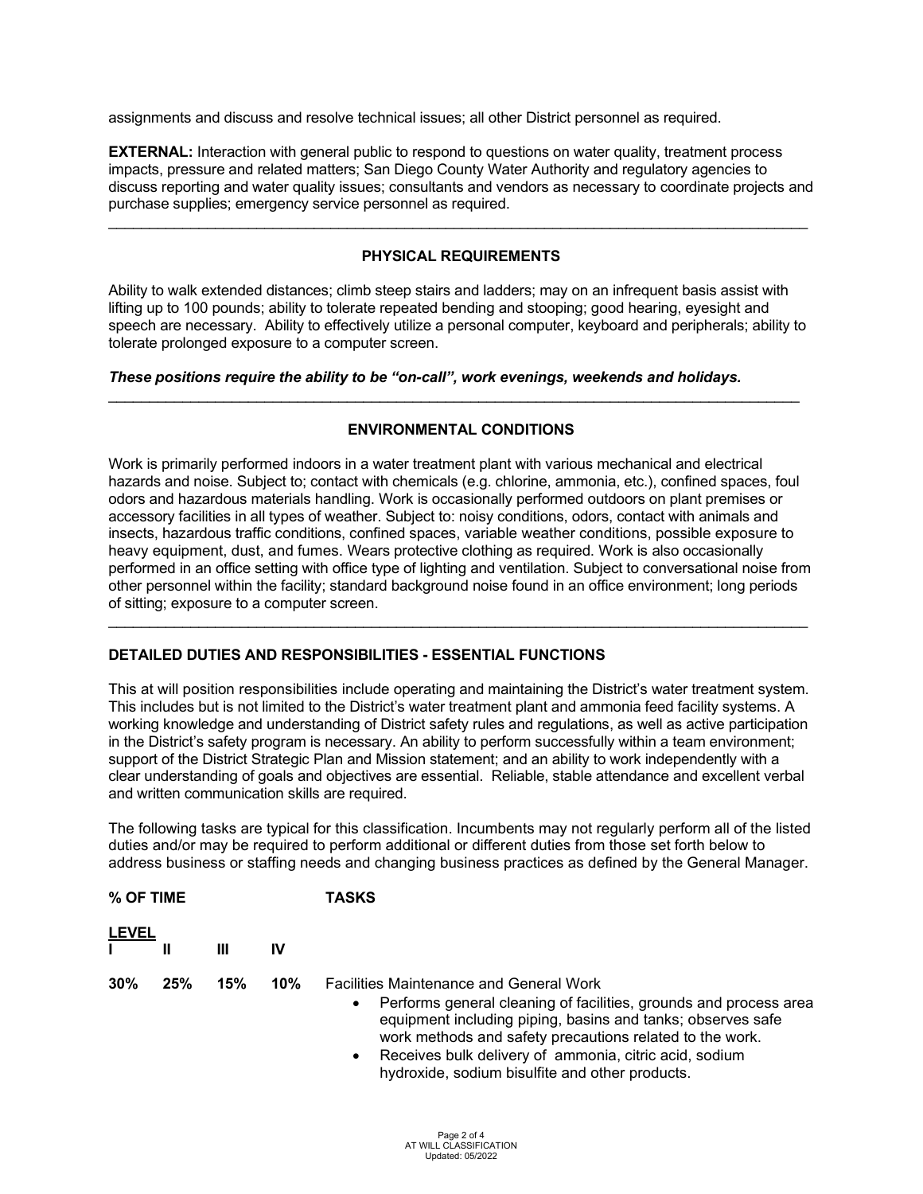assignments and discuss and resolve technical issues; all other District personnel as required.

**EXTERNAL:** Interaction with general public to respond to questions on water quality, treatment process impacts, pressure and related matters; San Diego County Water Authority and regulatory agencies to discuss reporting and water quality issues; consultants and vendors as necessary to coordinate projects and purchase supplies; emergency service personnel as required.

# **PHYSICAL REQUIREMENTS**

\_\_\_\_\_\_\_\_\_\_\_\_\_\_\_\_\_\_\_\_\_\_\_\_\_\_\_\_\_\_\_\_\_\_\_\_\_\_\_\_\_\_\_\_\_\_\_\_\_\_\_\_\_\_\_\_\_\_\_\_\_\_\_\_\_\_\_\_\_\_\_\_\_\_\_\_\_\_\_\_\_\_\_\_\_

Ability to walk extended distances; climb steep stairs and ladders; may on an infrequent basis assist with lifting up to 100 pounds; ability to tolerate repeated bending and stooping; good hearing, eyesight and speech are necessary. Ability to effectively utilize a personal computer, keyboard and peripherals; ability to tolerate prolonged exposure to a computer screen.

#### *These positions require the ability to be "on-call", work evenings, weekends and holidays.*

# **ENVIRONMENTAL CONDITIONS**

\_\_\_\_\_\_\_\_\_\_\_\_\_\_\_\_\_\_\_\_\_\_\_\_\_\_\_\_\_\_\_\_\_\_\_\_\_\_\_\_\_\_\_\_\_\_\_\_\_\_\_\_\_\_\_\_\_\_\_\_\_\_\_\_\_\_\_\_\_\_\_\_\_\_\_\_\_\_\_\_\_\_\_\_

Work is primarily performed indoors in a water treatment plant with various mechanical and electrical hazards and noise. Subject to; contact with chemicals (e.g. chlorine, ammonia, etc.), confined spaces, foul odors and hazardous materials handling. Work is occasionally performed outdoors on plant premises or accessory facilities in all types of weather. Subject to: noisy conditions, odors, contact with animals and insects, hazardous traffic conditions, confined spaces, variable weather conditions, possible exposure to heavy equipment, dust, and fumes. Wears protective clothing as required. Work is also occasionally performed in an office setting with office type of lighting and ventilation. Subject to conversational noise from other personnel within the facility; standard background noise found in an office environment; long periods of sitting; exposure to a computer screen.

\_\_\_\_\_\_\_\_\_\_\_\_\_\_\_\_\_\_\_\_\_\_\_\_\_\_\_\_\_\_\_\_\_\_\_\_\_\_\_\_\_\_\_\_\_\_\_\_\_\_\_\_\_\_\_\_\_\_\_\_\_\_\_\_\_\_\_\_\_\_\_\_\_\_\_\_\_\_\_\_\_\_\_\_\_

### **DETAILED DUTIES AND RESPONSIBILITIES - ESSENTIAL FUNCTIONS**

This at will position responsibilities include operating and maintaining the District's water treatment system. This includes but is not limited to the District's water treatment plant and ammonia feed facility systems. A working knowledge and understanding of District safety rules and regulations, as well as active participation in the District's safety program is necessary. An ability to perform successfully within a team environment; support of the District Strategic Plan and Mission statement; and an ability to work independently with a clear understanding of goals and objectives are essential. Reliable, stable attendance and excellent verbal and written communication skills are required.

The following tasks are typical for this classification. Incumbents may not regularly perform all of the listed duties and/or may be required to perform additional or different duties from those set forth below to address business or staffing needs and changing business practices as defined by the General Manager.

| % OF TIME    |     |     |        | TASKS                                                                                                                                                                                                                                                                                                                                                                         |
|--------------|-----|-----|--------|-------------------------------------------------------------------------------------------------------------------------------------------------------------------------------------------------------------------------------------------------------------------------------------------------------------------------------------------------------------------------------|
| <b>LEVEL</b> |     | Ш   | ΙV     |                                                                                                                                                                                                                                                                                                                                                                               |
| 30%          | 25% | 15% | $10\%$ | <b>Facilities Maintenance and General Work</b><br>Performs general cleaning of facilities, grounds and process area<br>٠<br>equipment including piping, basins and tanks; observes safe<br>work methods and safety precautions related to the work.<br>Receives bulk delivery of ammonia, citric acid, sodium<br>$\bullet$<br>hydroxide, sodium bisulfite and other products. |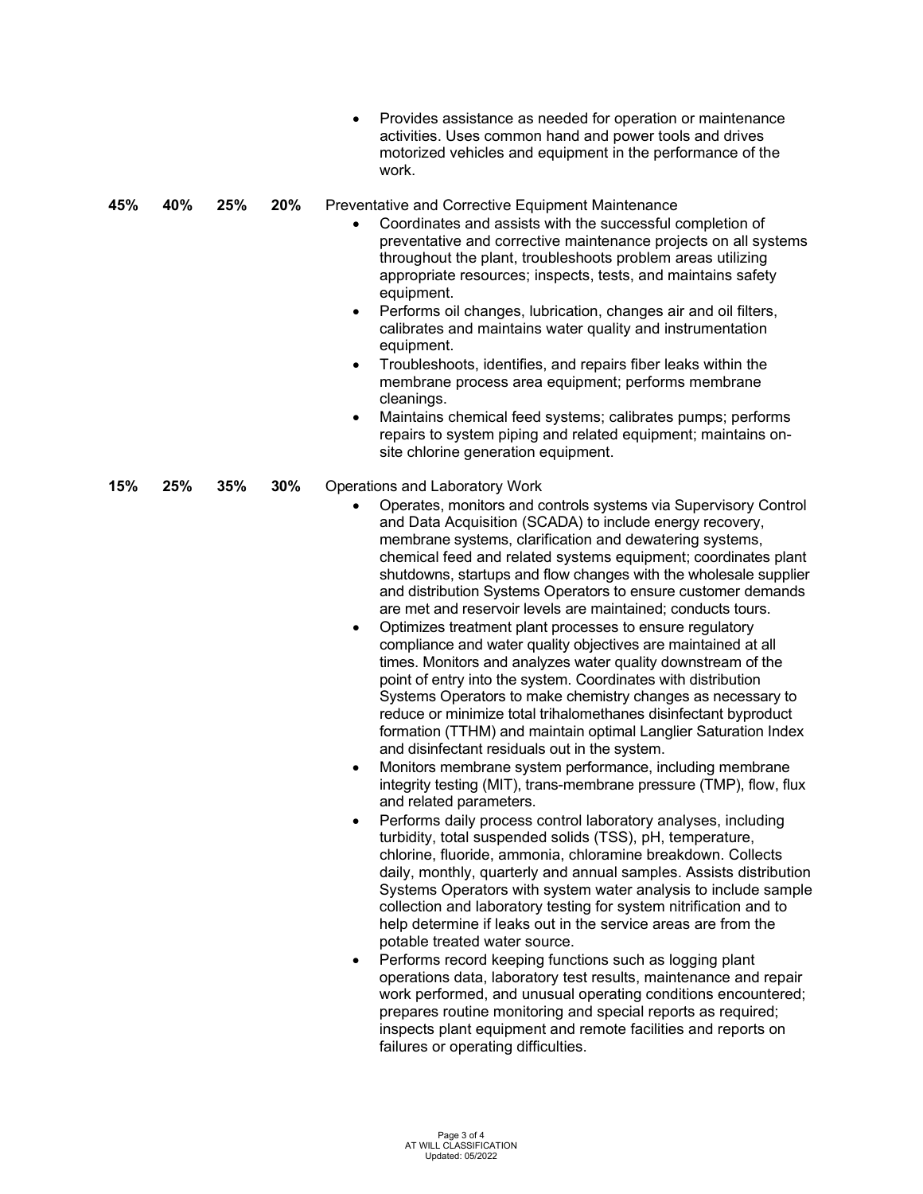|     |     |     |     | Provides assistance as needed for operation or maintenance<br>$\bullet$<br>activities. Uses common hand and power tools and drives<br>motorized vehicles and equipment in the performance of the<br>work.                                                                                                                                                                                                                                                                                                                                                                                                                                                                                                                                                                                                                                                                                                                                                                                                                                                                                                                                                                                                                                                                                                                                                                                                                                                                                                                                                                                                                                                                                                                                                                                                                                                                                                                                                                                                                                                                                                                     |
|-----|-----|-----|-----|-------------------------------------------------------------------------------------------------------------------------------------------------------------------------------------------------------------------------------------------------------------------------------------------------------------------------------------------------------------------------------------------------------------------------------------------------------------------------------------------------------------------------------------------------------------------------------------------------------------------------------------------------------------------------------------------------------------------------------------------------------------------------------------------------------------------------------------------------------------------------------------------------------------------------------------------------------------------------------------------------------------------------------------------------------------------------------------------------------------------------------------------------------------------------------------------------------------------------------------------------------------------------------------------------------------------------------------------------------------------------------------------------------------------------------------------------------------------------------------------------------------------------------------------------------------------------------------------------------------------------------------------------------------------------------------------------------------------------------------------------------------------------------------------------------------------------------------------------------------------------------------------------------------------------------------------------------------------------------------------------------------------------------------------------------------------------------------------------------------------------------|
| 45% | 40% | 25% | 20% | Preventative and Corrective Equipment Maintenance<br>Coordinates and assists with the successful completion of<br>$\bullet$<br>preventative and corrective maintenance projects on all systems<br>throughout the plant, troubleshoots problem areas utilizing<br>appropriate resources; inspects, tests, and maintains safety<br>equipment.<br>Performs oil changes, lubrication, changes air and oil filters,<br>$\bullet$<br>calibrates and maintains water quality and instrumentation<br>equipment.<br>Troubleshoots, identifies, and repairs fiber leaks within the<br>$\bullet$<br>membrane process area equipment; performs membrane<br>cleanings.<br>Maintains chemical feed systems; calibrates pumps; performs<br>$\bullet$<br>repairs to system piping and related equipment; maintains on-<br>site chlorine generation equipment.                                                                                                                                                                                                                                                                                                                                                                                                                                                                                                                                                                                                                                                                                                                                                                                                                                                                                                                                                                                                                                                                                                                                                                                                                                                                                 |
| 15% | 25% | 35% | 30% | Operations and Laboratory Work<br>Operates, monitors and controls systems via Supervisory Control<br>$\bullet$<br>and Data Acquisition (SCADA) to include energy recovery,<br>membrane systems, clarification and dewatering systems,<br>chemical feed and related systems equipment; coordinates plant<br>shutdowns, startups and flow changes with the wholesale supplier<br>and distribution Systems Operators to ensure customer demands<br>are met and reservoir levels are maintained; conducts tours.<br>Optimizes treatment plant processes to ensure regulatory<br>$\bullet$<br>compliance and water quality objectives are maintained at all<br>times. Monitors and analyzes water quality downstream of the<br>point of entry into the system. Coordinates with distribution<br>Systems Operators to make chemistry changes as necessary to<br>reduce or minimize total trihalomethanes disinfectant byproduct<br>formation (TTHM) and maintain optimal Langlier Saturation Index<br>and disinfectant residuals out in the system.<br>Monitors membrane system performance, including membrane<br>$\bullet$<br>integrity testing (MIT), trans-membrane pressure (TMP), flow, flux<br>and related parameters.<br>Performs daily process control laboratory analyses, including<br>$\bullet$<br>turbidity, total suspended solids (TSS), pH, temperature,<br>chlorine, fluoride, ammonia, chloramine breakdown. Collects<br>daily, monthly, quarterly and annual samples. Assists distribution<br>Systems Operators with system water analysis to include sample<br>collection and laboratory testing for system nitrification and to<br>help determine if leaks out in the service areas are from the<br>potable treated water source.<br>Performs record keeping functions such as logging plant<br>٠<br>operations data, laboratory test results, maintenance and repair<br>work performed, and unusual operating conditions encountered;<br>prepares routine monitoring and special reports as required;<br>inspects plant equipment and remote facilities and reports on<br>failures or operating difficulties. |